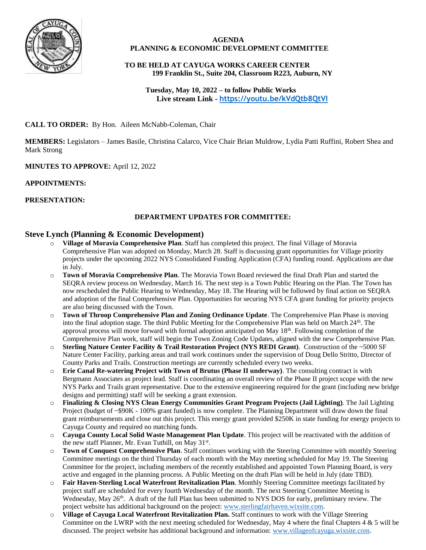

#### **AGENDA PLANNING & ECONOMIC DEVELOPMENT COMMITTEE**

# **TO BE HELD AT CAYUGA WORKS CAREER CENTER 199 Franklin St., Suite 204, Classroom R223, Auburn, NY**

 **Tuesday, May 10, 2022 – to follow Public Works Live stream Link - <https://youtu.be/kVdQtb8QtVI>**

# **CALL TO ORDER:** By Hon. Aileen McNabb-Coleman, Chair

**MEMBERS:** Legislators – James Basile, Christina Calarco, Vice Chair Brian Muldrow, Lydia Patti Ruffini, Robert Shea and Mark Strong

# **MINUTES TO APPROVE:** April 12, 2022

#### **APPOINTMENTS:**

# **PRESENTATION:**

# **DEPARTMENT UPDATES FOR COMMITTEE:**

# **Steve Lynch (Planning & Economic Development)**

- o **Village of Moravia Comprehensive Plan**. Staff has completed this project. The final Village of Moravia Comprehensive Plan was adopted on Monday, March 28. Staff is discussing grant opportunities for Village priority projects under the upcoming 2022 NYS Consolidated Funding Application (CFA) funding round. Applications are due in July.
- o **Town of Moravia Comprehensive Plan**. The Moravia Town Board reviewed the final Draft Plan and started the SEQRA review process on Wednesday, March 16. The next step is a Town Public Hearing on the Plan. The Town has now rescheduled the Public Hearing to Wednesday, May 18. The Hearing will be followed by final action on SEQRA and adoption of the final Comprehensive Plan. Opportunities for securing NYS CFA grant funding for priority projects are also being discussed with the Town.
- o **Town of Throop Comprehensive Plan and Zoning Ordinance Update**. The Comprehensive Plan Phase is moving into the final adoption stage. The third Public Meeting for the Comprehensive Plan was held on March  $24<sup>th</sup>$ . The approval process will move forward with formal adoption anticipated on May 18<sup>th</sup>. Following completion of the Comprehensive Plan work, staff will begin the Town Zoning Code Updates, aligned with the new Comprehensive Plan.
- o **Sterling Nature Center Facility & Trail Restoration Project (NYS REDI Grant)**. Construction of the ~5000 SF Nature Center Facility, parking areas and trail work continues under the supervision of Doug Dello Stritto, Director of County Parks and Trails. Construction meetings are currently scheduled every two weeks.
- o **Erie Canal Re-watering Project with Town of Brutus (Phase II underway)**. The consulting contract is with Bergmann Associates as project lead. Staff is coordinating an overall review of the Phase II project scope with the new NYS Parks and Trails grant representative. Due to the extensive engineering required for the grant (including new bridge designs and permitting) staff will be seeking a grant extension.
- o **Finalizing & Closing NYS Clean Energy Communities Grant Program Projects (Jail Lighting)**. The Jail Lighting Project (budget of ~\$90K - 100% grant funded) is now complete. The Planning Department will draw down the final grant reimbursements and close out this project. This energy grant provided \$250K in state funding for energy projects to Cayuga County and required no matching funds.
- o **Cayuga County Local Solid Waste Management Plan Update**. This project will be reactivated with the addition of the new staff Planner, Mr. Evan Tuthill, on May 31<sup>st</sup>.
- o **Town of Conquest Comprehensive Plan**. Staff continues working with the Steering Committee with monthly Steering Committee meetings on the third Thursday of each month with the May meeting scheduled for May 19. The Steering Committee for the project, including members of the recently established and appointed Town Planning Board, is very active and engaged in the planning process. A Public Meeting on the draft Plan will be held in July (date TBD).
- o **Fair Haven-Sterling Local Waterfront Revitalization Plan**. Monthly Steering Committee meetings facilitated by project staff are scheduled for every fourth Wednesday of the month. The next Steering Committee Meeting is Wednesday, May 26<sup>th</sup>. A draft of the full Plan has been submitted to NYS DOS for early, preliminary review. The project website has additional background on the project[: www.sterlingfairhaven.wixsite.com.](http://www.sterlingfairhaven.wixsite.com/)
- o **Village of Cayuga Local Waterfront Revitalization Plan.** Staff continues to work with the Village Steering Committee on the LWRP with the next meeting scheduled for Wednesday, May 4 where the final Chapters  $4 \& 5$  will be discussed. The project website has additional background and information: [www.villageofcayuga.wixsite.com.](http://www.villageofcayuga.wixsite.com/)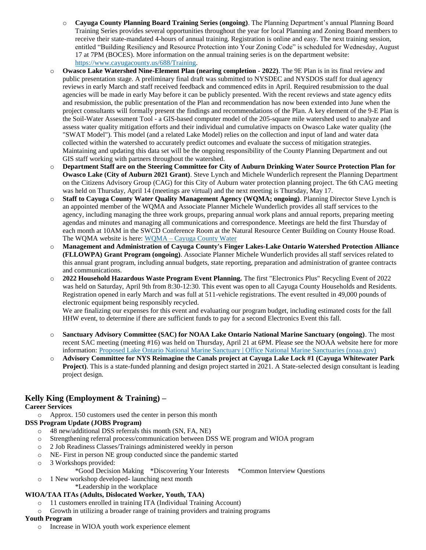- o **Cayuga County Planning Board Training Series (ongoing)**. The Planning Department's annual Planning Board Training Series provides several opportunities throughout the year for local Planning and Zoning Board members to receive their state-mandated 4-hours of annual training. Registration is online and easy. The next training session, entitled "Building Resiliency and Resource Protection into Your Zoning Code" is scheduled for Wednesday, August 17 at 7PM (BOCES). More information on the annual training series is on the department website: [https://www.cayugacounty.us/688/Training.](https://www.cayugacounty.us/688/Training)
- o **Owasco Lake Watershed Nine-Element Plan (nearing completion - 2022)**. The 9E Plan is in its final review and public presentation stage. A preliminary final draft was submitted to NYSDEC and NYSDOS staff for dual agency reviews in early March and staff received feedback and commenced edits in April. Required resubmission to the dual agencies will be made in early May before it can be publicly presented. With the recent reviews and state agency edits and resubmission, the public presentation of the Plan and recommendation has now been extended into June when the project consultants will formally present the findings and recommendations of the Plan. A key element of the 9-E Plan is the Soil-Water Assessment Tool - a GIS-based computer model of the 205-square mile watershed used to analyze and assess water quality mitigation efforts and their individual and cumulative impacts on Owasco Lake water quality (the "SWAT Model"). This model (and a related Lake Model) relies on the collection and input of land and water data collected within the watershed to accurately predict outcomes and evaluate the success of mitigation strategies. Maintaining and updating this data set will be the ongoing responsibility of the County Planning Department and out GIS staff working with partners throughout the watershed.
- o **Department Staff are on the Steering Committee for City of Auburn Drinking Water Source Protection Plan for Owasco Lake (City of Auburn 2021 Grant)**. Steve Lynch and Michele Wunderlich represent the Planning Department on the Citizens Advisory Group (CAG) for this City of Auburn water protection planning project. The 6th CAG meeting was held on Thursday, April 14 (meetings are virtual) and the next meeting is Thursday, May 17.
- o **Staff to Cayuga County Water Quality Management Agency (WQMA; ongoing)**. Planning Director Steve Lynch is an appointed member of the WQMA and Associate Planner Michele Wunderlich provides all staff services to the agency, including managing the three work groups, preparing annual work plans and annual reports, preparing meeting agendas and minutes and managing all communications and correspondence. Meetings are held the first Thursday of each month at 10AM in the SWCD Conference Room at the Natural Resource Center Building on County House Road. The WQMA website is here: WQMA – [Cayuga County Water](http://cayugacountywater.org/)
- o **Management and Administration of Cayuga County's Finger Lakes-Lake Ontario Watershed Protection Alliance (FLLOWPA) Grant Program (ongoing)**. Associate Planner Michele Wunderlich provides all staff services related to this annual grant program, including annual budgets, state reporting, preparation and administration of grantee contracts and communications.
- o **2022 Household Hazardous Waste Program Event Planning.** The first "Electronics Plus" Recycling Event of 2022 was held on Saturday, April 9th from 8:30-12:30. This event was open to all Cayuga County Households and Residents. Registration opened in early March and was full at 511-vehicle registrations. The event resulted in 49,000 pounds of electronic equipment being responsibly recycled.

We are finalizing our expenses for this event and evaluating our program budget, including estimated costs for the fall HHW event, to determine if there are sufficient funds to pay for a second Electronics Event this fall.

- o **Sanctuary Advisory Committee (SAC) for NOAA Lake Ontario National Marine Sanctuary (ongoing)**. The most recent SAC meeting (meeting #16) was held on Thursday, April 21 at 6PM. Please see the NOAA website here for more information: [Proposed Lake Ontario National Marine Sanctuary | Office National Marine Sanctuaries \(noaa.gov\)](https://sanctuaries.noaa.gov/lake-ontario/)
- o **Advisory Committee for NYS Reimagine the Canals project at Cayuga Lake Lock #1 (Cayuga Whitewater Park Project)**. This is a state-funded planning and design project started in 2021. A State-selected design consultant is leading project design.

# **Kelly King (Employment & Training) –**

#### **Career Services**

o Approx. 150 customers used the center in person this month

#### **DSS Program Update (JOBS Program)**

- o 48 new/additional DSS referrals this month (SN, FA, NE)
- o Strengthening referral process/communication between DSS WE program and WIOA program
- o 2 Job Readiness Classes/Trainings administered weekly in person
- o NE- First in person NE group conducted since the pandemic started
- o 3 Workshops provided:
	- \*Good Decision Making \*Discovering Your Interests \*Common Interview Questions
- o 1 New workshop developed- launching next month
	- \*Leadership in the workplace

#### **WIOA/TAA ITAs (Adults, Dislocated Worker, Youth, TAA)**

- o 11 customers enrolled in training ITA (Individual Training Account)
- o Growth in utilizing a broader range of training providers and training programs

#### **Youth Program**

o Increase in WIOA youth work experience element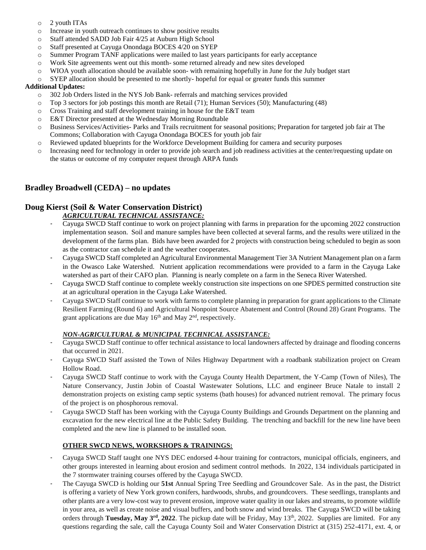- o 2 youth ITAs
- o Increase in youth outreach continues to show positive results
- o Staff attended SADD Job Fair 4/25 at Auburn High School
- o Staff presented at Cayuga Onondaga BOCES 4/20 on SYEP
- o Summer Program TANF applications were mailed to last years participants for early acceptance
- o Work Site agreements went out this month- some returned already and new sites developed
- o WIOA youth allocation should be available soon- with remaining hopefully in June for the July budget start
- o SYEP allocation should be presented to me shortly- hopeful for equal or greater funds this summer

#### **Additional Updates:**

- o 302 Job Orders listed in the NYS Job Bank- referrals and matching services provided
- o Top 3 sectors for job postings this month are Retail (71); Human Services (50); Manufacturing (48)
- o Cross Training and staff development training in house for the E&T team
- o E&T Director presented at the Wednesday Morning Roundtable
- o Business Services/Activities- Parks and Trails recruitment for seasonal positions; Preparation for targeted job fair at The Commons; Collaboration with Cayuga Onondaga BOCES for youth job fair
- o Reviewed updated blueprints for the Workforce Development Building for camera and security purposes
- o Increasing need for technology in order to provide job search and job readiness activities at the center/requesting update on the status or outcome of my computer request through ARPA funds

# **Bradley Broadwell (CEDA) – no updates**

# **Doug Kierst (Soil & Water Conservation District)**

#### *AGRICULTURAL TECHNICAL ASSISTANCE:*

- Cayuga SWCD Staff continue to work on project planning with farms in preparation for the upcoming 2022 construction implementation season. Soil and manure samples have been collected at several farms, and the results were utilized in the development of the farms plan. Bids have been awarded for 2 projects with construction being scheduled to begin as soon as the contractor can schedule it and the weather cooperates.
- Cayuga SWCD Staff completed an Agricultural Environmental Management Tier 3A Nutrient Management plan on a farm in the Owasco Lake Watershed. Nutrient application recommendations were provided to a farm in the Cayuga Lake watershed as part of their CAFO plan. Planning is nearly complete on a farm in the Seneca River Watershed.
- Cayuga SWCD Staff continue to complete weekly construction site inspections on one SPDES permitted construction site at an agricultural operation in the Cayuga Lake Watershed.
- Cayuga SWCD Staff continue to work with farms to complete planning in preparation for grant applications to the Climate Resilient Farming (Round 6) and Agricultural Nonpoint Source Abatement and Control (Round 28) Grant Programs. The grant applications are due May  $16<sup>th</sup>$  and May  $2<sup>nd</sup>$ , respectively.

#### *NON-AGRICULTURAL & MUNICIPAL TECHNICAL ASSISTANCE:*

- Cayuga SWCD Staff continue to offer technical assistance to local landowners affected by drainage and flooding concerns that occurred in 2021.
- Cayuga SWCD Staff assisted the Town of Niles Highway Department with a roadbank stabilization project on Cream Hollow Road.
- Cayuga SWCD Staff continue to work with the Cayuga County Health Department, the Y-Camp (Town of Niles), The Nature Conservancy, Justin Jobin of Coastal Wastewater Solutions, LLC and engineer Bruce Natale to install 2 demonstration projects on existing camp septic systems (bath houses) for advanced nutrient removal. The primary focus of the project is on phosphorous removal.
- Cayuga SWCD Staff has been working with the Cayuga County Buildings and Grounds Department on the planning and excavation for the new electrical line at the Public Safety Building. The trenching and backfill for the new line have been completed and the new line is planned to be installed soon.

#### **OTHER SWCD NEWS, WORKSHOPS & TRAININGS:**

- Cayuga SWCD Staff taught one NYS DEC endorsed 4-hour training for contractors, municipal officials, engineers, and other groups interested in learning about erosion and sediment control methods. In 2022, 134 individuals participated in the 7 stormwater training courses offered by the Cayuga SWCD.
- The Cayuga SWCD is holding our **51st** Annual Spring Tree Seedling and Groundcover Sale. As in the past, the District is offering a variety of New York grown conifers, hardwoods, shrubs, and groundcovers. These seedlings, transplants and other plants are a very low-cost way to prevent erosion, improve water quality in our lakes and streams, to promote wildlife in your area, as well as create noise and visual buffers, and both snow and wind breaks. The Cayuga SWCD will be taking orders through **Tuesday, May 3rd, 2022**. The pickup date will be Friday, May 13th, 2022. Supplies are limited. For any questions regarding the sale, call the Cayuga County Soil and Water Conservation District at (315) 252-4171, ext. 4, or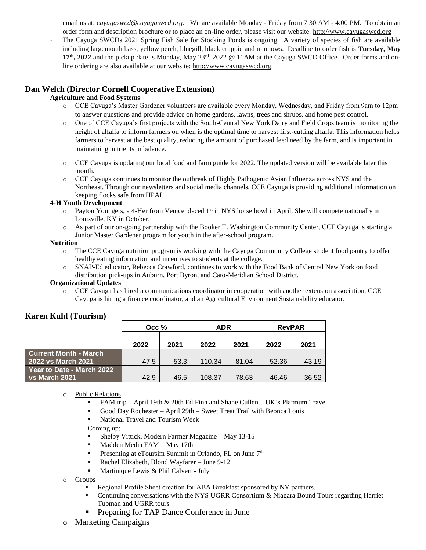email us at: *cayugaswcd@cayugaswcd.org*. We are available Monday - Friday from 7:30 AM - 4:00 PM. To obtain an order form and description brochure or to place an on-line order, please visit our website: [http://www.cayugaswcd.org](http://www.cayugaswcd.org/)

- The Cayuga SWCDs 2021 Spring Fish Sale for Stocking Ponds is ongoing. A variety of species of fish are available including largemouth bass, yellow perch, bluegill, black crappie and minnows. Deadline to order fish is **Tuesday, May 17th, 2022** and the pickup date is Monday, May 23rd, 2022 @ 11AM at the Cayuga SWCD Office. Order forms and online ordering are also available at our website: [http://www.cayugaswcd.org.](http://www.cayugaswcd.org/)

# **Dan Welch (Director Cornell Cooperative Extension)**

#### **Agriculture and Food Systems**

- o CCE Cayuga's Master Gardener volunteers are available every Monday, Wednesday, and Friday from 9am to 12pm to answer questions and provide advice on home gardens, lawns, trees and shrubs, and home pest control.
- o One of CCE Cayuga's first projects with the South-Central New York Dairy and Field Crops team is monitoring the height of alfalfa to inform farmers on when is the optimal time to harvest first-cutting alfalfa. This information helps farmers to harvest at the best quality, reducing the amount of purchased feed need by the farm, and is important in maintaining nutrients in balance.
- o CCE Cayuga is updating our local food and farm guide for 2022. The updated version will be available later this month.
- o CCE Cayuga continues to monitor the outbreak of Highly Pathogenic Avian Influenza across NYS and the Northeast. Through our newsletters and social media channels, CCE Cayuga is providing additional information on keeping flocks safe from HPAI.

#### **4-H Youth Development**

- $\circ$  Payton Youngers, a 4-Her from Venice placed 1<sup>st</sup> in NYS horse bowl in April. She will compete nationally in Louisville, KY in October.
- o As part of our on-going partnership with the Booker T. Washington Community Center, CCE Cayuga is starting a Junior Master Gardener program for youth in the after-school program.

#### **Nutrition**

- o The CCE Cayuga nutrition program is working with the Cayuga Community College student food pantry to offer healthy eating information and incentives to students at the college.
- o SNAP-Ed educator, Rebecca Crawford, continues to work with the Food Bank of Central New York on food distribution pick-ups in Auburn, Port Byron, and Cato-Meridian School District.

#### **Organizational Updates**

o CCE Cayuga has hired a communications coordinator in cooperation with another extension association. CCE Cayuga is hiring a finance coordinator, and an Agricultural Environment Sustainability educator.

|                              | Occ $%$ |      | <b>ADR</b> |       | <b>RevPAR</b> |       |
|------------------------------|---------|------|------------|-------|---------------|-------|
|                              | 2022    | 2021 | 2022       | 2021  | 2022          | 2021  |
|                              |         |      |            |       |               |       |
| <b>Current Month - March</b> |         |      |            |       |               |       |
| 2022 vs March 2021           | 47.5    | 53.3 | 110.34     | 81.04 | 52.36         | 43.19 |
| Year to Date - March 2022 ·  |         |      |            |       |               |       |
| <b>vs March 2021</b>         | 42.9    | 46.5 | 108.37     | 78.63 | 46.46         | 36.52 |

#### o Public Relations

- **•** FAM trip April 19th & 20th Ed Finn and Shane Cullen UK's Platinum Travel
- Good Day Rochester April 29th Sweet Treat Trail with Beonca Louis
- National Travel and Tourism Week

Coming up:

- Shelby Vittick, Modern Farmer Magazine May  $13-15$
- Madden Media FAM May 17th
- **•** Presenting at eToursim Summit in Orlando, FL on June 7<sup>th</sup>
- Rachel Elizabeth, Blond Wayfarer June 9-12
- Martinique Lewis & Phil Calvert July

o Groups

- Regional Profile Sheet creation for ABA Breakfast sponsored by NY partners.
- Continuing conversations with the NYS UGRR Consortium  $\&$  Niagara Bound Tours regarding Harriet Tubman and UGRR tours
- Preparing for TAP Dance Conference in June
- o Marketing Campaigns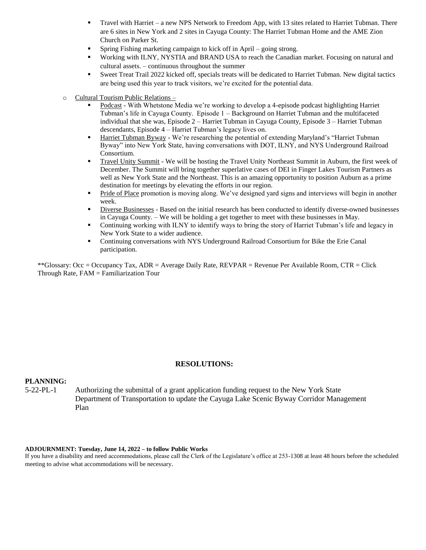- Travel with Harriet a new NPS Network to Freedom App, with 13 sites related to Harriet Tubman. There are 6 sites in New York and 2 sites in Cayuga County: The Harriet Tubman Home and the AME Zion Church on Parker St.
- Spring Fishing marketing campaign to kick off in April going strong.
- Working with ILNY, NYSTIA and BRAND USA to reach the Canadian market. Focusing on natural and cultural assets. – continuous throughout the summer
- Sweet Treat Trail 2022 kicked off, specials treats will be dedicated to Harriet Tubman. New digital tactics are being used this year to track visitors, we're excited for the potential data.
- o Cultural Tourism Public Relations
	- Podcast With Whetstone Media we're working to develop a 4-episode podcast highlighting Harriet Tubman's life in Cayuga County. Episode 1 – Background on Harriet Tubman and the multifaceted individual that she was, Episode 2 – Harriet Tubman in Cayuga County, Episode 3 – Harriet Tubman descendants, Episode 4 – Harriet Tubman's legacy lives on.
	- Harriet Tubman Byway We're researching the potential of extending Maryland's "Harriet Tubman Byway" into New York State, having conversations with DOT, ILNY, and NYS Underground Railroad Consortium.
	- Travel Unity Summit We will be hosting the Travel Unity Northeast Summit in Auburn, the first week of December. The Summit will bring together superlative cases of DEI in Finger Lakes Tourism Partners as well as New York State and the Northeast. This is an amazing opportunity to position Auburn as a prime destination for meetings by elevating the efforts in our region.
	- **•** Pride of Place promotion is moving along. We've designed yard signs and interviews will begin in another week.
	- Diverse Businesses Based on the initial research has been conducted to identify diverse-owned businesses in Cayuga County. – We will be holding a get together to meet with these businesses in May.
	- **•** Continuing working with ILNY to identify ways to bring the story of Harriet Tubman's life and legacy in New York State to a wider audience.
	- **•** Continuing conversations with NYS Underground Railroad Consortium for Bike the Erie Canal participation.

\*\*Glossary: Occ = Occupancy Tax, ADR = Average Daily Rate, REVPAR = Revenue Per Available Room, CTR = Click Through Rate, FAM = Familiarization Tour

#### **RESOLUTIONS:**

#### **PLANNING:**

5-22-PL-1 Authorizing the submittal of a grant application funding request to the New York State Department of Transportation to update the Cayuga Lake Scenic Byway Corridor Management Plan

#### **ADJOURNMENT: Tuesday, June 14, 2022 – to follow Public Works**

If you have a disability and need accommodations, please call the Clerk of the Legislature's office at 253-1308 at least 48 hours before the scheduled meeting to advise what accommodations will be necessary.